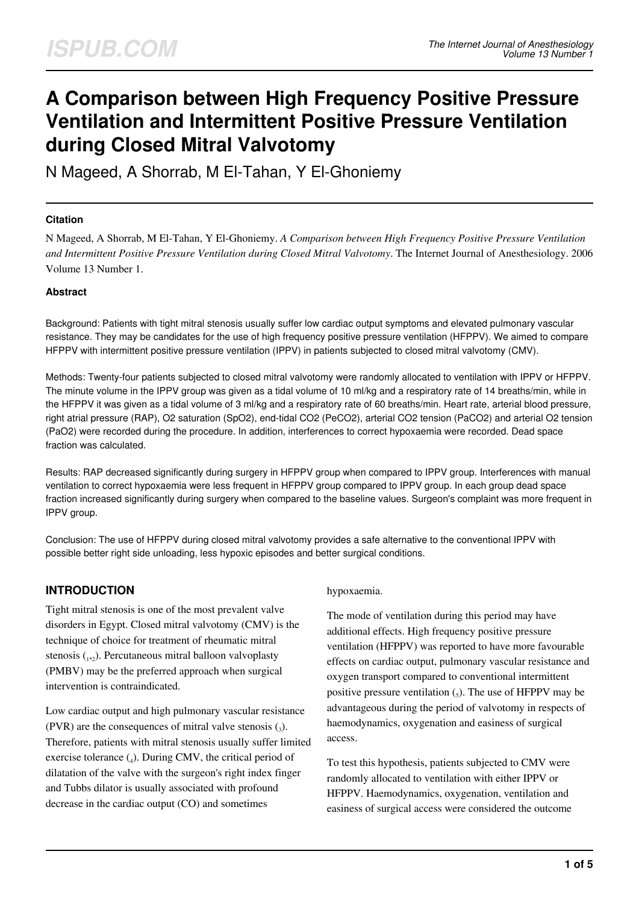# **A Comparison between High Frequency Positive Pressure Ventilation and Intermittent Positive Pressure Ventilation during Closed Mitral Valvotomy**

N Mageed, A Shorrab, M El-Tahan, Y El-Ghoniemy

#### **Citation**

N Mageed, A Shorrab, M El-Tahan, Y El-Ghoniemy. *A Comparison between High Frequency Positive Pressure Ventilation and Intermittent Positive Pressure Ventilation during Closed Mitral Valvotomy*. The Internet Journal of Anesthesiology. 2006 Volume 13 Number 1.

#### **Abstract**

Background: Patients with tight mitral stenosis usually suffer low cardiac output symptoms and elevated pulmonary vascular resistance. They may be candidates for the use of high frequency positive pressure ventilation (HFPPV). We aimed to compare HFPPV with intermittent positive pressure ventilation (IPPV) in patients subjected to closed mitral valvotomy (CMV).

Methods: Twenty-four patients subjected to closed mitral valvotomy were randomly allocated to ventilation with IPPV or HFPPV. The minute volume in the IPPV group was given as a tidal volume of 10 ml/kg and a respiratory rate of 14 breaths/min, while in the HFPPV it was given as a tidal volume of 3 ml/kg and a respiratory rate of 60 breaths/min. Heart rate, arterial blood pressure, right atrial pressure (RAP), O2 saturation (SpO2), end-tidal CO2 (PeCO2), arterial CO2 tension (PaCO2) and arterial O2 tension (PaO2) were recorded during the procedure. In addition, interferences to correct hypoxaemia were recorded. Dead space fraction was calculated.

Results: RAP decreased significantly during surgery in HFPPV group when compared to IPPV group. Interferences with manual ventilation to correct hypoxaemia were less frequent in HFPPV group compared to IPPV group. In each group dead space fraction increased significantly during surgery when compared to the baseline values. Surgeon's complaint was more frequent in IPPV group.

Conclusion: The use of HFPPV during closed mitral valvotomy provides a safe alternative to the conventional IPPV with possible better right side unloading, less hypoxic episodes and better surgical conditions.

## **INTRODUCTION**

Tight mitral stenosis is one of the most prevalent valve disorders in Egypt. Closed mitral valvotomy (CMV) is the technique of choice for treatment of rheumatic mitral stenosis (1,2). Percutaneous mitral balloon valvoplasty (PMBV) may be the preferred approach when surgical intervention is contraindicated.

Low cardiac output and high pulmonary vascular resistance (PVR) are the consequences of mitral valve stenosis  $\left($ <sub>3</sub>). Therefore, patients with mitral stenosis usually suffer limited exercise tolerance (4). During CMV, the critical period of dilatation of the valve with the surgeon's right index finger and Tubbs dilator is usually associated with profound decrease in the cardiac output (CO) and sometimes

#### hypoxaemia.

The mode of ventilation during this period may have additional effects. High frequency positive pressure ventilation (HFPPV) was reported to have more favourable effects on cardiac output, pulmonary vascular resistance and oxygen transport compared to conventional intermittent positive pressure ventilation  $\zeta$ ). The use of HFPPV may be advantageous during the period of valvotomy in respects of haemodynamics, oxygenation and easiness of surgical access.

To test this hypothesis, patients subjected to CMV were randomly allocated to ventilation with either IPPV or HFPPV. Haemodynamics, oxygenation, ventilation and easiness of surgical access were considered the outcome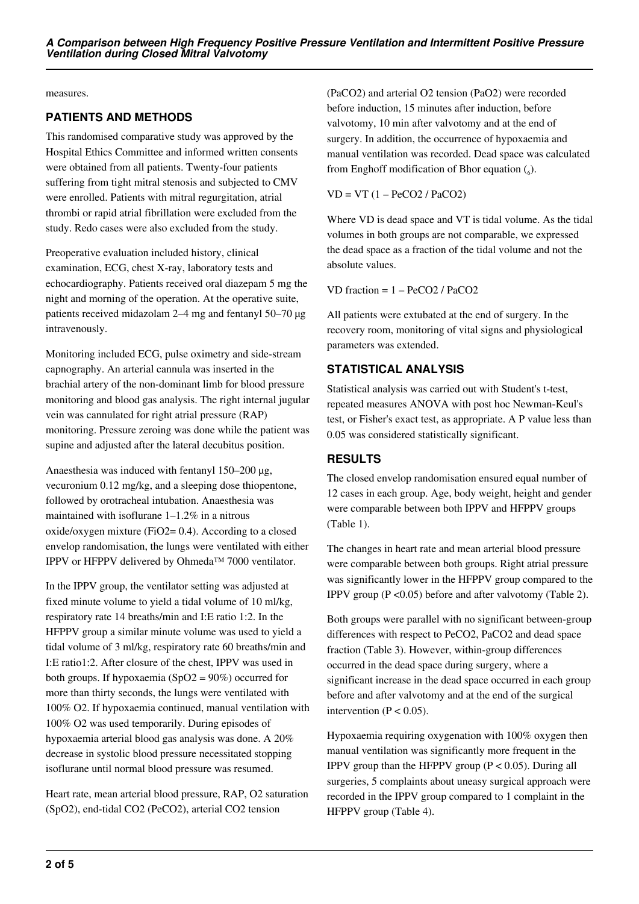measures.

# **PATIENTS AND METHODS**

This randomised comparative study was approved by the Hospital Ethics Committee and informed written consents were obtained from all patients. Twenty-four patients suffering from tight mitral stenosis and subjected to CMV were enrolled. Patients with mitral regurgitation, atrial thrombi or rapid atrial fibrillation were excluded from the study. Redo cases were also excluded from the study.

Preoperative evaluation included history, clinical examination, ECG, chest X-ray, laboratory tests and echocardiography. Patients received oral diazepam 5 mg the night and morning of the operation. At the operative suite, patients received midazolam 2–4 mg and fentanyl 50–70 µg intravenously.

Monitoring included ECG, pulse oximetry and side-stream capnography. An arterial cannula was inserted in the brachial artery of the non-dominant limb for blood pressure monitoring and blood gas analysis. The right internal jugular vein was cannulated for right atrial pressure (RAP) monitoring. Pressure zeroing was done while the patient was supine and adjusted after the lateral decubitus position.

Anaesthesia was induced with fentanyl 150–200 µg, vecuronium 0.12 mg/kg, and a sleeping dose thiopentone, followed by orotracheal intubation. Anaesthesia was maintained with isoflurane 1–1.2% in a nitrous oxide/oxygen mixture (FiO2= 0.4). According to a closed envelop randomisation, the lungs were ventilated with either IPPV or HFPPV delivered by Ohmeda™ 7000 ventilator.

In the IPPV group, the ventilator setting was adjusted at fixed minute volume to yield a tidal volume of 10 ml/kg, respiratory rate 14 breaths/min and I:E ratio 1:2. In the HFPPV group a similar minute volume was used to yield a tidal volume of 3 ml/kg, respiratory rate 60 breaths/min and I:E ratio1:2. After closure of the chest, IPPV was used in both groups. If hypoxaemia  $(SpO2 = 90\%)$  occurred for more than thirty seconds, the lungs were ventilated with 100% O2. If hypoxaemia continued, manual ventilation with 100% O2 was used temporarily. During episodes of hypoxaemia arterial blood gas analysis was done. A 20% decrease in systolic blood pressure necessitated stopping isoflurane until normal blood pressure was resumed.

Heart rate, mean arterial blood pressure, RAP, O2 saturation (SpO2), end-tidal CO2 (PeCO2), arterial CO2 tension

(PaCO2) and arterial O2 tension (PaO2) were recorded before induction, 15 minutes after induction, before valvotomy, 10 min after valvotomy and at the end of surgery. In addition, the occurrence of hypoxaemia and manual ventilation was recorded. Dead space was calculated from Enghoff modification of Bhor equation  $\binom{6}{6}$ .

 $VD = VT (1 - PeCO2 / PaCO2)$ 

Where VD is dead space and VT is tidal volume. As the tidal volumes in both groups are not comparable, we expressed the dead space as a fraction of the tidal volume and not the absolute values.

VD fraction = 1 – PeCO2 / PaCO2

All patients were extubated at the end of surgery. In the recovery room, monitoring of vital signs and physiological parameters was extended.

# **STATISTICAL ANALYSIS**

Statistical analysis was carried out with Student's t-test, repeated measures ANOVA with post hoc Newman-Keul's test, or Fisher's exact test, as appropriate. A P value less than 0.05 was considered statistically significant.

# **RESULTS**

The closed envelop randomisation ensured equal number of 12 cases in each group. Age, body weight, height and gender were comparable between both IPPV and HFPPV groups (Table 1).

The changes in heart rate and mean arterial blood pressure were comparable between both groups. Right atrial pressure was significantly lower in the HFPPV group compared to the IPPV group  $(P \le 0.05)$  before and after valvotomy (Table 2).

Both groups were parallel with no significant between-group differences with respect to PeCO2, PaCO2 and dead space fraction (Table 3). However, within-group differences occurred in the dead space during surgery, where a significant increase in the dead space occurred in each group before and after valvotomy and at the end of the surgical intervention ( $P < 0.05$ ).

Hypoxaemia requiring oxygenation with 100% oxygen then manual ventilation was significantly more frequent in the IPPV group than the HFPPV group  $(P < 0.05)$ . During all surgeries, 5 complaints about uneasy surgical approach were recorded in the IPPV group compared to 1 complaint in the HFPPV group (Table 4).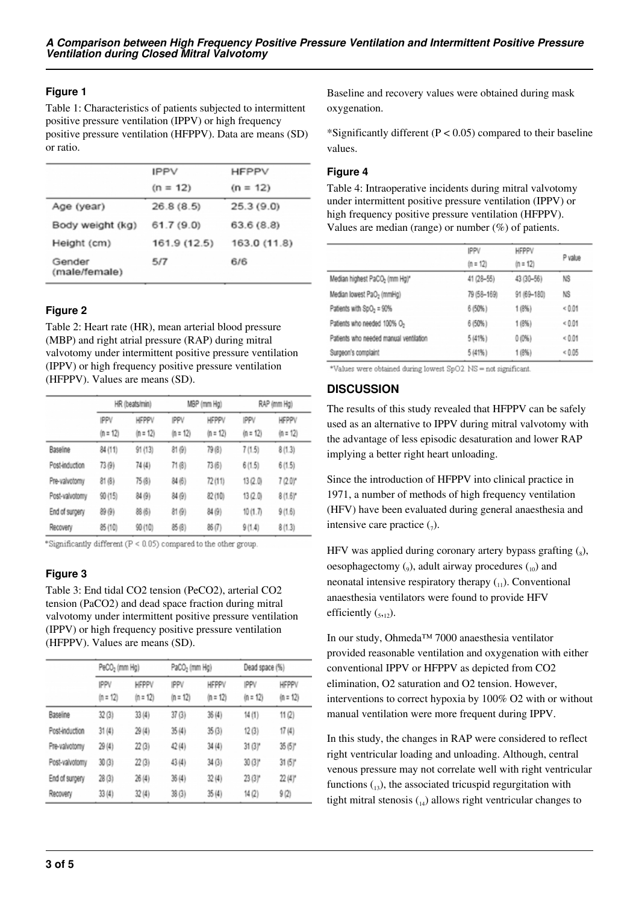## **Figure 1**

Table 1: Characteristics of patients subjected to intermittent positive pressure ventilation (IPPV) or high frequency positive pressure ventilation (HFPPV). Data are means (SD) or ratio.

| <b>IPPV</b>  | <b>HFPPV</b> |
|--------------|--------------|
| $(n = 12)$   | $(n = 12)$   |
| 26.8(8.5)    | 25.3(9.0)    |
| 61.7(9.0)    | 63.6(8.8)    |
| 161.9 (12.5) | 163.0 (11.8) |
| 5/7          | 6/6          |
|              |              |

## **Figure 2**

Table 2: Heart rate (HR), mean arterial blood pressure (MBP) and right atrial pressure (RAP) during mitral valvotomy under intermittent positive pressure ventilation (IPPV) or high frequency positive pressure ventilation (HFPPV). Values are means (SD).

|                | HR (beats/min)     |                            | MBP (mm Hg)               |                            | RAP (mm Hg)               |                            |  |  |
|----------------|--------------------|----------------------------|---------------------------|----------------------------|---------------------------|----------------------------|--|--|
|                | IPPV<br>$(n = 12)$ | <b>HFPPV</b><br>$(n = 12)$ | <b>IPPV</b><br>$(n = 12)$ | <b>HFPPV</b><br>$(n = 12)$ | <b>IPPV</b><br>$(n = 12)$ | <b>HFPPV</b><br>$(n = 12)$ |  |  |
| Baseline       | 84 (11)            | 91(13)                     | 81(9)                     | 79 (8)                     | 7(1.5)                    | 8(1.3)                     |  |  |
| Post-induction | 73(9)              | 74 (4)                     | 71 (8)                    | 73(6)                      | 6(1.5)                    | 6(1.5)                     |  |  |
| Pre-valvotomy  | 81(8)              | 75(8)                      | 84 (6)                    | 72(11)                     | 13(2.0)                   | $7(2.0)^*$                 |  |  |
| Post-valvotomy | 90(15)             | 84 (9)                     | 84 (9)                    | 82(10)                     | 13(2.0)                   | $8(1.6)^*$                 |  |  |
| End of surgery | 89 (9)             | 88(6)                      | 81(9)                     | 84 (9)                     | 10(1.7)                   | 9(1.6)                     |  |  |
| Recovery       | 85(10)             | 90(10)                     | 85(8)                     | 86(7)                      | 9(1.4)                    | 8(1.3)                     |  |  |

\*Significantly different (P < 0.05) compared to the other group.

## **Figure 3**

Table 3: End tidal CO2 tension (PeCO2), arterial CO2 tension (PaCO2) and dead space fraction during mitral valvotomy under intermittent positive pressure ventilation (IPPV) or high frequency positive pressure ventilation (HFPPV). Values are means (SD).

|                | PeCO <sub>2</sub> (mm Hg) |                            | PaCO <sub>2</sub> (mm Hg) |                            | Dead space (%)       |                            |
|----------------|---------------------------|----------------------------|---------------------------|----------------------------|----------------------|----------------------------|
|                | IPPV<br>$(n = 12)$        | <b>HFPPV</b><br>$(n = 12)$ | <b>IPPV</b><br>$(n = 12)$ | <b>HFPPV</b><br>$(n = 12)$ | IPPV<br>$(n = 12)$   | <b>HFPPV</b><br>$(n = 12)$ |
| Baseline       | 32(3)                     | 33(4)                      | 37(3)                     | 36(4)                      | 14(1)                | 11(2)                      |
| Post-induction | 31(4)                     | 29(4)                      | 35(4)                     | 35(3)                      | 12(3)                | 17(4)                      |
| Pre-valvotomy  | 29(4)                     | 22(3)                      | 42 (4)                    | 34(4)                      | $31(3)$ <sup>*</sup> | $35(5)$ <sup>*</sup>       |
| Post-valvotomy | 30(3)                     | 22(3)                      | 43(4)                     | 34(3)                      | $30(3)^*$            | $31(5)$ *                  |
| End of surgery | 28(3)                     | 26(4)                      | 36(4)                     | 32(4)                      | $23(3)$ <sup>*</sup> | $22(4)$ <sup>*</sup>       |
| Recovery       | 33(4)                     | 32(4)                      | 38(3)                     | 35(4)                      | 14 (2)               | 9(2)                       |

Baseline and recovery values were obtained during mask oxygenation.

\*Significantly different ( $P < 0.05$ ) compared to their baseline values.

#### **Figure 4**

Table 4: Intraoperative incidents during mitral valvotomy under intermittent positive pressure ventilation (IPPV) or high frequency positive pressure ventilation (HFPPV). Values are median (range) or number (%) of patients.

|                                           | IPPV        | HFPPV       |            |  |
|-------------------------------------------|-------------|-------------|------------|--|
|                                           | $(n = 12)$  | $(n = 12)$  | P value    |  |
| Median highest PaCO <sub>2</sub> (mm Hg)* | 41 (28-55)  | 43 (30-56)  | NS         |  |
| Median Iowest PaO <sub>2</sub> (mmHg)     | 79 (58-169) | 91 (69-180) | NS         |  |
| Patients with SpO <sub>2</sub> = 90%      | 6(50%)      | 1(8%)       | ${}< 0.01$ |  |
| Patients who needed 100% O2               | 6(50%)      | 1(8%)       | ${}< 0.01$ |  |
| Patients who needed manual ventilation    | 5(41%)      | 0(0%)       | ${}< 0.01$ |  |
| Surgeon's complaint                       | 5(41%)      | 1(8%)       | ${}< 0.05$ |  |

\*Values were obtained during lowest SpO2 NS = not significant.

#### **DISCUSSION**

The results of this study revealed that HFPPV can be safely used as an alternative to IPPV during mitral valvotomy with the advantage of less episodic desaturation and lower RAP implying a better right heart unloading.

Since the introduction of HFPPV into clinical practice in 1971, a number of methods of high frequency ventilation (HFV) have been evaluated during general anaesthesia and intensive care practice  $\binom{7}{7}$ .

HFV was applied during coronary artery bypass grafting  $(s)$ , oesophagectomy  $(_{9}$ ), adult airway procedures  $(_{10}$ ) and neonatal intensive respiratory therapy  $({}_{11})$ . Conventional anaesthesia ventilators were found to provide HFV efficiently  $(s, 12)$ .

In our study, Ohmeda™ 7000 anaesthesia ventilator provided reasonable ventilation and oxygenation with either conventional IPPV or HFPPV as depicted from CO2 elimination, O2 saturation and O2 tension. However, interventions to correct hypoxia by 100% O2 with or without manual ventilation were more frequent during IPPV.

In this study, the changes in RAP were considered to reflect right ventricular loading and unloading. Although, central venous pressure may not correlate well with right ventricular functions  $\binom{13}{13}$ , the associated tricuspid regurgitation with tight mitral stenosis  $_{14}$ ) allows right ventricular changes to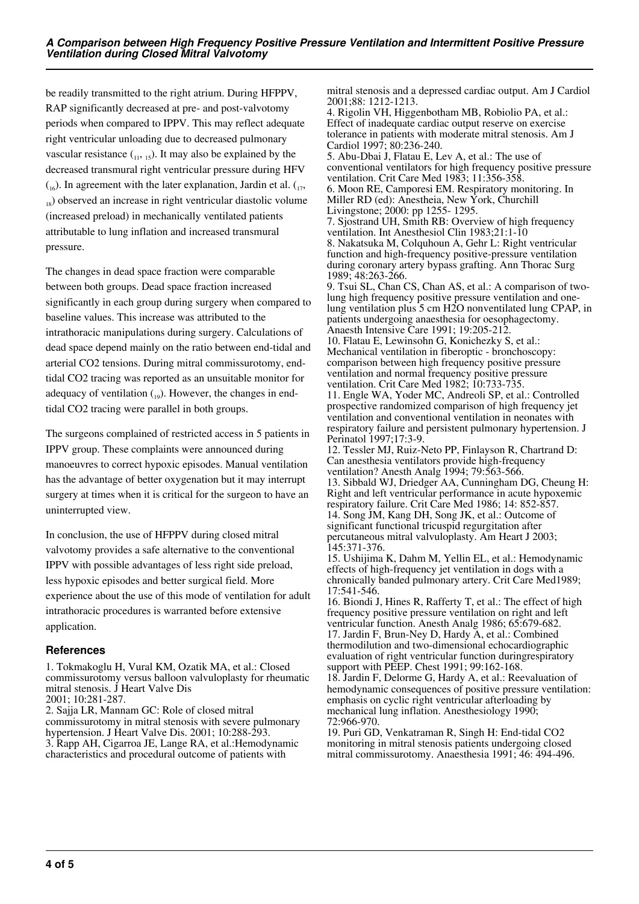be readily transmitted to the right atrium. During HFPPV, RAP significantly decreased at pre- and post-valvotomy periods when compared to IPPV. This may reflect adequate right ventricular unloading due to decreased pulmonary vascular resistance  $_{(11, 15)}$ . It may also be explained by the decreased transmural right ventricular pressure during HFV  $\binom{16}{16}$ . In agreement with the later explanation, Jardin et al.  $\binom{17}{17}$  $_{18}$ ) observed an increase in right ventricular diastolic volume (increased preload) in mechanically ventilated patients attributable to lung inflation and increased transmural pressure.

The changes in dead space fraction were comparable between both groups. Dead space fraction increased significantly in each group during surgery when compared to baseline values. This increase was attributed to the intrathoracic manipulations during surgery. Calculations of dead space depend mainly on the ratio between end-tidal and arterial CO2 tensions. During mitral commissurotomy, endtidal CO2 tracing was reported as an unsuitable monitor for adequacy of ventilation  $_{19}$ ). However, the changes in endtidal CO2 tracing were parallel in both groups.

The surgeons complained of restricted access in 5 patients in IPPV group. These complaints were announced during manoeuvres to correct hypoxic episodes. Manual ventilation has the advantage of better oxygenation but it may interrupt surgery at times when it is critical for the surgeon to have an uninterrupted view.

In conclusion, the use of HFPPV during closed mitral valvotomy provides a safe alternative to the conventional IPPV with possible advantages of less right side preload, less hypoxic episodes and better surgical field. More experience about the use of this mode of ventilation for adult intrathoracic procedures is warranted before extensive application.

#### **References**

1. Tokmakoglu H, Vural KM, Ozatik MA, et al.: Closed commissurotomy versus balloon valvuloplasty for rheumatic mitral stenosis. J Heart Valve Dis 2001; 10:281-287.

2. Sajja LR, Mannam GC: Role of closed mitral commissurotomy in mitral stenosis with severe pulmonary hypertension. J Heart Valve Dis. 2001; 10:288-293. 3. Rapp AH, Cigarroa JE, Lange RA, et al.:Hemodynamic characteristics and procedural outcome of patients with

mitral stenosis and a depressed cardiac output. Am J Cardiol 2001;88: 1212-1213.

4. Rigolin VH, Higgenbotham MB, Robiolio PA, et al.: Effect of inadequate cardiac output reserve on exercise tolerance in patients with moderate mitral stenosis. Am J Cardiol 1997; 80:236-240. 5. Abu-Dbai J, Flatau E, Lev A, et al.: The use of conventional ventilators for high frequency positive pressure ventilation. Crit Care Med 1983; 11:356-358. 6. Moon RE, Camporesi EM. Respiratory monitoring. In Miller RD (ed): Anestheia, New York, Churchill Livingstone; 2000: pp 1255- 1295. 7. Sjostrand UH, Smith RB: Overview of high frequency ventilation. Int Anesthesiol Clin 1983;21:1-10 8. Nakatsuka M, Colquhoun A, Gehr L: Right ventricular function and high-frequency positive-pressure ventilation during coronary artery bypass grafting. Ann Thorac Surg 1989; 48:263-266. 9. Tsui SL, Chan CS, Chan AS, et al.: A comparison of twolung high frequency positive pressure ventilation and onelung ventilation plus 5 cm H2O nonventilated lung CPAP, in patients undergoing anaesthesia for oesophagectomy. Anaesth Intensive Care 1991; 19:205-212. 10. Flatau E, Lewinsohn G, Konichezky S, et al.: Mechanical ventilation in fiberoptic - bronchoscopy: comparison between high frequency positive pressure ventilation and normal frequency positive pressure ventilation. Crit Care Med 1982; 10:733-735. 11. Engle WA, Yoder MC, Andreoli SP, et al.: Controlled prospective randomized comparison of high frequency jet ventilation and conventional ventilation in neonates with respiratory failure and persistent pulmonary hypertension. J Perinatol 1997;17:3-9. 12. Tessler MJ, Ruiz-Neto PP, Finlayson R, Chartrand D: Can anesthesia ventilators provide high-frequency ventilation? Anesth Analg 1994; 79:563-566. 13. Sibbald WJ, Driedger AA, Cunningham DG, Cheung H: Right and left ventricular performance in acute hypoxemic respiratory failure. Crit Care Med 1986; 14: 852-857. 14. Song JM, Kang DH, Song JK, et al.: Outcome of significant functional tricuspid regurgitation after percutaneous mitral valvuloplasty. Am Heart J 2003; 145:371-376. 15. Ushijima K, Dahm M, Yellin EL, et al.: Hemodynamic effects of high-frequency jet ventilation in dogs with a chronically banded pulmonary artery. Crit Care Med1989; 17:541-546. 16. Biondi J, Hines R, Rafferty T, et al.: The effect of high frequency positive pressure ventilation on right and left ventricular function. Anesth Analg 1986; 65:679-682. 17. Jardin F, Brun-Ney D, Hardy A, et al.: Combined thermodilution and two-dimensional echocardiographic evaluation of right ventricular function duringrespiratory support with PEEP. Chest 1991; 99:162-168. 18. Jardin F, Delorme G, Hardy A, et al.: Reevaluation of hemodynamic consequences of positive pressure ventilation:

72:966-970. 19. Puri GD, Venkatraman R, Singh H: End-tidal CO2 monitoring in mitral stenosis patients undergoing closed mitral commissurotomy. Anaesthesia 1991; 46: 494-496.

emphasis on cyclic right ventricular afterloading by mechanical lung inflation. Anesthesiology 1990;